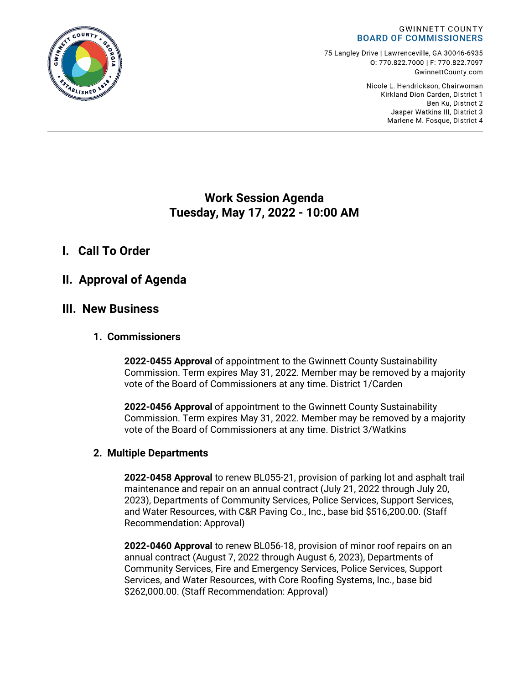

75 Langley Drive | Lawrenceville, GA 30046-6935 0:770.822.7000 | F: 770.822.7097 GwinnettCounty.com

> Nicole L. Hendrickson, Chairwoman Kirkland Dion Carden, District 1 Ben Ku. District 2 Jasper Watkins III, District 3 Marlene M. Fosque, District 4

# **Work Session Agenda Tuesday, May 17, 2022 - 10:00 AM**

# **I. Call To Order**

# **II. Approval of Agenda**

## **III. New Business**

### **1. Commissioners**

**2022-0455 Approval** of appointment to the Gwinnett County Sustainability Commission. Term expires May 31, 2022. Member may be removed by a majority vote of the Board of Commissioners at any time. District 1/Carden

**2022-0456 Approval** of appointment to the Gwinnett County Sustainability Commission. Term expires May 31, 2022. Member may be removed by a majority vote of the Board of Commissioners at any time. District 3/Watkins

## **2. Multiple Departments**

**2022-0458 Approval** to renew BL055-21, provision of parking lot and asphalt trail maintenance and repair on an annual contract (July 21, 2022 through July 20, 2023), Departments of Community Services, Police Services, Support Services, and Water Resources, with C&R Paving Co., Inc., base bid \$516,200.00. (Staff Recommendation: Approval)

**2022-0460 Approval** to renew BL056-18, provision of minor roof repairs on an annual contract (August 7, 2022 through August 6, 2023), Departments of Community Services, Fire and Emergency Services, Police Services, Support Services, and Water Resources, with Core Roofing Systems, Inc., base bid \$262,000.00. (Staff Recommendation: Approval)

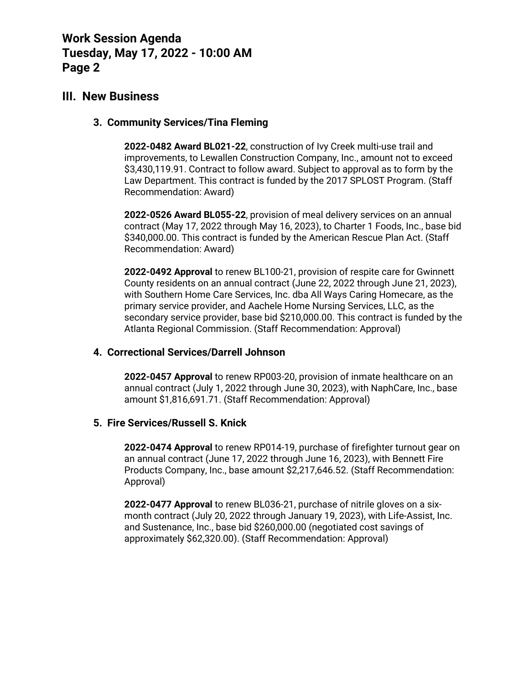## **III. New Business**

#### **3. Community Services/Tina Fleming**

**2022-0482 Award BL021-22**, construction of Ivy Creek multi-use trail and improvements, to Lewallen Construction Company, Inc., amount not to exceed \$3,430,119.91. Contract to follow award. Subject to approval as to form by the Law Department. This contract is funded by the 2017 SPLOST Program. (Staff Recommendation: Award)

**2022-0526 Award BL055-22**, provision of meal delivery services on an annual contract (May 17, 2022 through May 16, 2023), to Charter 1 Foods, Inc., base bid \$340,000.00. This contract is funded by the American Rescue Plan Act. (Staff Recommendation: Award)

**2022-0492 Approval** to renew BL100-21, provision of respite care for Gwinnett County residents on an annual contract (June 22, 2022 through June 21, 2023), with Southern Home Care Services, Inc. dba All Ways Caring Homecare, as the primary service provider, and Aachele Home Nursing Services, LLC, as the secondary service provider, base bid \$210,000.00. This contract is funded by the Atlanta Regional Commission. (Staff Recommendation: Approval)

#### **4. Correctional Services/Darrell Johnson**

**2022-0457 Approval** to renew RP003-20, provision of inmate healthcare on an annual contract (July 1, 2022 through June 30, 2023), with NaphCare, Inc., base amount \$1,816,691.71. (Staff Recommendation: Approval)

#### **5. Fire Services/Russell S. Knick**

**2022-0474 Approval** to renew RP014-19, purchase of firefighter turnout gear on an annual contract (June 17, 2022 through June 16, 2023), with Bennett Fire Products Company, Inc., base amount \$2,217,646.52. (Staff Recommendation: Approval)

**2022-0477 Approval** to renew BL036-21, purchase of nitrile gloves on a sixmonth contract (July 20, 2022 through January 19, 2023), with Life-Assist, Inc. and Sustenance, Inc., base bid \$260,000.00 (negotiated cost savings of approximately \$62,320.00). (Staff Recommendation: Approval)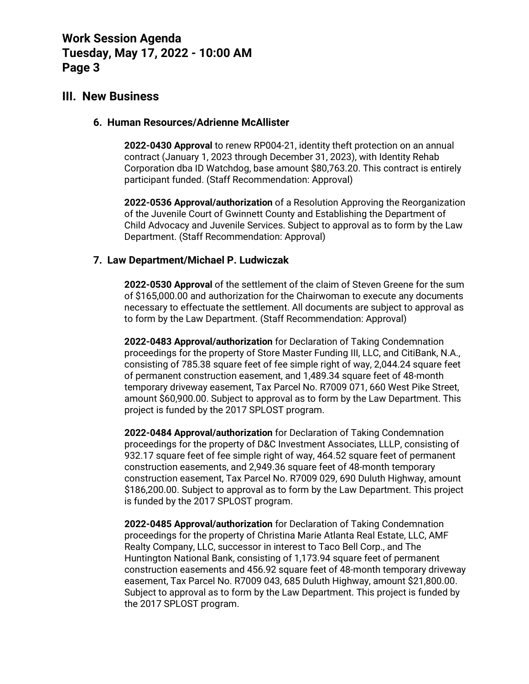## **III. New Business**

#### **6. Human Resources/Adrienne McAllister**

**2022-0430 Approval** to renew RP004-21, identity theft protection on an annual contract (January 1, 2023 through December 31, 2023), with Identity Rehab Corporation dba ID Watchdog, base amount \$80,763.20. This contract is entirely participant funded. (Staff Recommendation: Approval)

**2022-0536 Approval/authorization** of a Resolution Approving the Reorganization of the Juvenile Court of Gwinnett County and Establishing the Department of Child Advocacy and Juvenile Services. Subject to approval as to form by the Law Department. (Staff Recommendation: Approval)

#### **7. Law Department/Michael P. Ludwiczak**

**2022-0530 Approval** of the settlement of the claim of Steven Greene for the sum of \$165,000.00 and authorization for the Chairwoman to execute any documents necessary to effectuate the settlement. All documents are subject to approval as to form by the Law Department. (Staff Recommendation: Approval)

**2022-0483 Approval/authorization** for Declaration of Taking Condemnation proceedings for the property of Store Master Funding III, LLC, and CitiBank, N.A., consisting of 785.38 square feet of fee simple right of way, 2,044.24 square feet of permanent construction easement, and 1,489.34 square feet of 48-month temporary driveway easement, Tax Parcel No. R7009 071, 660 West Pike Street, amount \$60,900.00. Subject to approval as to form by the Law Department. This project is funded by the 2017 SPLOST program.

**2022-0484 Approval/authorization** for Declaration of Taking Condemnation proceedings for the property of D&C Investment Associates, LLLP, consisting of 932.17 square feet of fee simple right of way, 464.52 square feet of permanent construction easements, and 2,949.36 square feet of 48-month temporary construction easement, Tax Parcel No. R7009 029, 690 Duluth Highway, amount \$186,200.00. Subject to approval as to form by the Law Department. This project is funded by the 2017 SPLOST program.

**2022-0485 Approval/authorization** for Declaration of Taking Condemnation proceedings for the property of Christina Marie Atlanta Real Estate, LLC, AMF Realty Company, LLC, successor in interest to Taco Bell Corp., and The Huntington National Bank, consisting of 1,173.94 square feet of permanent construction easements and 456.92 square feet of 48-month temporary driveway easement, Tax Parcel No. R7009 043, 685 Duluth Highway, amount \$21,800.00. Subject to approval as to form by the Law Department. This project is funded by the 2017 SPLOST program.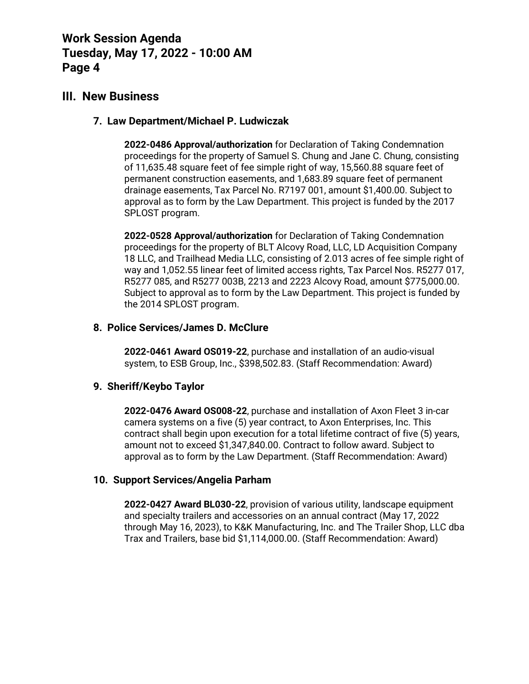## **III. New Business**

### **7. Law Department/Michael P. Ludwiczak**

**2022-0486 Approval/authorization** for Declaration of Taking Condemnation proceedings for the property of Samuel S. Chung and Jane C. Chung, consisting of 11,635.48 square feet of fee simple right of way, 15,560.88 square feet of permanent construction easements, and 1,683.89 square feet of permanent drainage easements, Tax Parcel No. R7197 001, amount \$1,400.00. Subject to approval as to form by the Law Department. This project is funded by the 2017 SPLOST program.

**2022-0528 Approval/authorization** for Declaration of Taking Condemnation proceedings for the property of BLT Alcovy Road, LLC, LD Acquisition Company 18 LLC, and Trailhead Media LLC, consisting of 2.013 acres of fee simple right of way and 1,052.55 linear feet of limited access rights, Tax Parcel Nos. R5277 017, R5277 085, and R5277 003B, 2213 and 2223 Alcovy Road, amount \$775,000.00. Subject to approval as to form by the Law Department. This project is funded by the 2014 SPLOST program.

#### **8. Police Services/James D. McClure**

**2022-0461 Award OS019-22**, purchase and installation of an audio-visual system, to ESB Group, Inc., \$398,502.83. (Staff Recommendation: Award)

### **9. Sheriff/Keybo Taylor**

**2022-0476 Award OS008-22**, purchase and installation of Axon Fleet 3 in-car camera systems on a five (5) year contract, to Axon Enterprises, Inc. This contract shall begin upon execution for a total lifetime contract of five (5) years, amount not to exceed \$1,347,840.00. Contract to follow award. Subject to approval as to form by the Law Department. (Staff Recommendation: Award)

### **10. Support Services/Angelia Parham**

**2022-0427 Award BL030-22**, provision of various utility, landscape equipment and specialty trailers and accessories on an annual contract (May 17, 2022 through May 16, 2023), to K&K Manufacturing, Inc. and The Trailer Shop, LLC dba Trax and Trailers, base bid \$1,114,000.00. (Staff Recommendation: Award)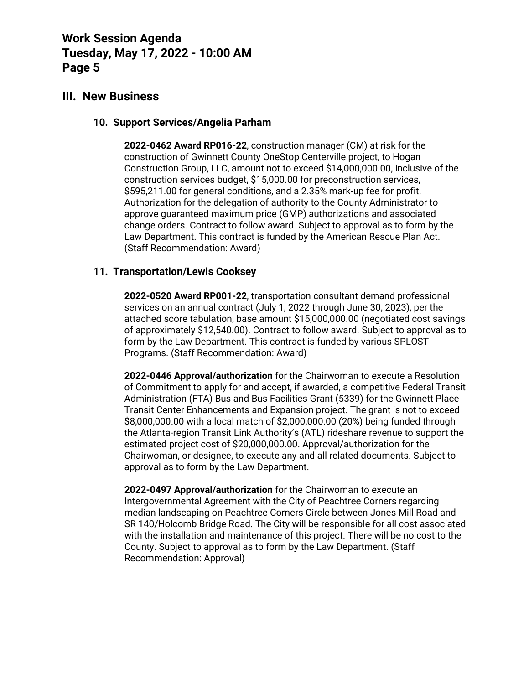## **III. New Business**

### **10. Support Services/Angelia Parham**

**2022-0462 Award RP016-22**, construction manager (CM) at risk for the construction of Gwinnett County OneStop Centerville project, to Hogan Construction Group, LLC, amount not to exceed \$14,000,000.00, inclusive of the construction services budget, \$15,000.00 for preconstruction services, \$595,211.00 for general conditions, and a 2.35% mark-up fee for profit. Authorization for the delegation of authority to the County Administrator to approve guaranteed maximum price (GMP) authorizations and associated change orders. Contract to follow award. Subject to approval as to form by the Law Department. This contract is funded by the American Rescue Plan Act. (Staff Recommendation: Award)

### **11. Transportation/Lewis Cooksey**

**2022-0520 Award RP001-22**, transportation consultant demand professional services on an annual contract (July 1, 2022 through June 30, 2023), per the attached score tabulation, base amount \$15,000,000.00 (negotiated cost savings of approximately \$12,540.00). Contract to follow award. Subject to approval as to form by the Law Department. This contract is funded by various SPLOST Programs. (Staff Recommendation: Award)

**2022-0446 Approval/authorization** for the Chairwoman to execute a Resolution of Commitment to apply for and accept, if awarded, a competitive Federal Transit Administration (FTA) Bus and Bus Facilities Grant (5339) for the Gwinnett Place Transit Center Enhancements and Expansion project. The grant is not to exceed \$8,000,000.00 with a local match of \$2,000,000.00 (20%) being funded through the Atlanta-region Transit Link Authority's (ATL) rideshare revenue to support the estimated project cost of \$20,000,000.00. Approval/authorization for the Chairwoman, or designee, to execute any and all related documents. Subject to approval as to form by the Law Department.

**2022-0497 Approval/authorization** for the Chairwoman to execute an Intergovernmental Agreement with the City of Peachtree Corners regarding median landscaping on Peachtree Corners Circle between Jones Mill Road and SR 140/Holcomb Bridge Road. The City will be responsible for all cost associated with the installation and maintenance of this project. There will be no cost to the County. Subject to approval as to form by the Law Department. (Staff Recommendation: Approval)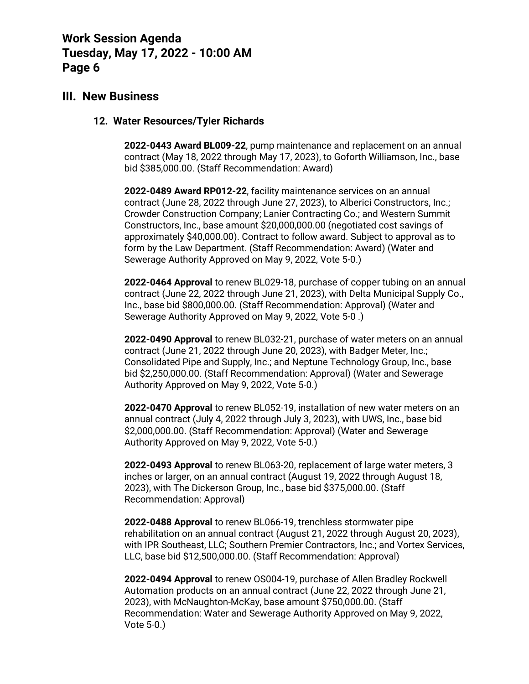## **III. New Business**

#### **12. Water Resources/Tyler Richards**

**2022-0443 Award BL009-22**, pump maintenance and replacement on an annual contract (May 18, 2022 through May 17, 2023), to Goforth Williamson, Inc., base bid \$385,000.00. (Staff Recommendation: Award)

**2022-0489 Award RP012-22**, facility maintenance services on an annual contract (June 28, 2022 through June 27, 2023), to Alberici Constructors, Inc.; Crowder Construction Company; Lanier Contracting Co.; and Western Summit Constructors, Inc., base amount \$20,000,000.00 (negotiated cost savings of approximately \$40,000.00). Contract to follow award. Subject to approval as to form by the Law Department. (Staff Recommendation: Award) (Water and Sewerage Authority Approved on May 9, 2022, Vote 5-0.)

**2022-0464 Approval** to renew BL029-18, purchase of copper tubing on an annual contract (June 22, 2022 through June 21, 2023), with Delta Municipal Supply Co., Inc., base bid \$800,000.00. (Staff Recommendation: Approval) (Water and Sewerage Authority Approved on May 9, 2022, Vote 5-0 .)

**2022-0490 Approval** to renew BL032-21, purchase of water meters on an annual contract (June 21, 2022 through June 20, 2023), with Badger Meter, Inc.; Consolidated Pipe and Supply, Inc.; and Neptune Technology Group, Inc., base bid \$2,250,000.00. (Staff Recommendation: Approval) (Water and Sewerage Authority Approved on May 9, 2022, Vote 5-0.)

**2022-0470 Approval** to renew BL052-19, installation of new water meters on an annual contract (July 4, 2022 through July 3, 2023), with UWS, Inc., base bid \$2,000,000.00. (Staff Recommendation: Approval) (Water and Sewerage Authority Approved on May 9, 2022, Vote 5-0.)

**2022-0493 Approval** to renew BL063-20, replacement of large water meters, 3 inches or larger, on an annual contract (August 19, 2022 through August 18, 2023), with The Dickerson Group, Inc., base bid \$375,000.00. (Staff Recommendation: Approval)

**2022-0488 Approval** to renew BL066-19, trenchless stormwater pipe rehabilitation on an annual contract (August 21, 2022 through August 20, 2023), with IPR Southeast, LLC; Southern Premier Contractors, Inc.; and Vortex Services, LLC, base bid \$12,500,000.00. (Staff Recommendation: Approval)

**2022-0494 Approval** to renew OS004-19, purchase of Allen Bradley Rockwell Automation products on an annual contract (June 22, 2022 through June 21, 2023), with McNaughton-McKay, base amount \$750,000.00. (Staff Recommendation: Water and Sewerage Authority Approved on May 9, 2022, Vote 5-0.)